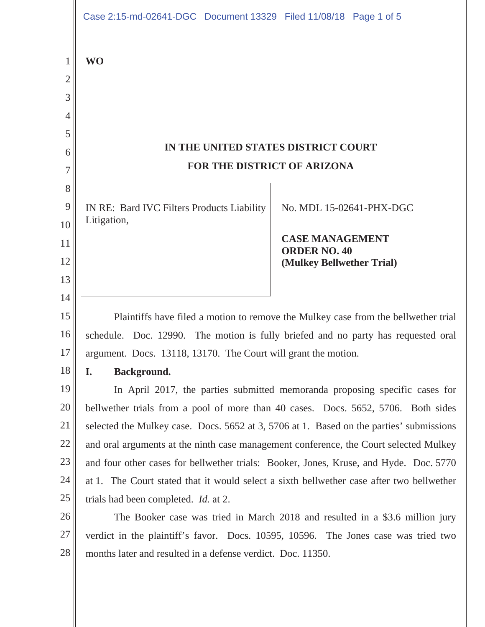|                | Case 2:15-md-02641-DGC Document 13329 Filed 11/08/18 Page 1 of 5                        |                                                                                          |  |
|----------------|-----------------------------------------------------------------------------------------|------------------------------------------------------------------------------------------|--|
| 1              | <b>WO</b>                                                                               |                                                                                          |  |
| $\overline{2}$ |                                                                                         |                                                                                          |  |
| 3              |                                                                                         |                                                                                          |  |
| $\overline{4}$ |                                                                                         |                                                                                          |  |
| 5              |                                                                                         |                                                                                          |  |
| 6              | IN THE UNITED STATES DISTRICT COURT                                                     |                                                                                          |  |
| 7              | FOR THE DISTRICT OF ARIZONA                                                             |                                                                                          |  |
| 8              |                                                                                         |                                                                                          |  |
| 9              | IN RE: Bard IVC Filters Products Liability                                              | No. MDL 15-02641-PHX-DGC                                                                 |  |
| 10             | Litigation,                                                                             |                                                                                          |  |
| 11             |                                                                                         | <b>CASE MANAGEMENT</b><br><b>ORDER NO. 40</b>                                            |  |
| 12             |                                                                                         | (Mulkey Bellwether Trial)                                                                |  |
| 13             |                                                                                         |                                                                                          |  |
| 14             |                                                                                         |                                                                                          |  |
| 15             | Plaintiffs have filed a motion to remove the Mulkey case from the bellwether trial      |                                                                                          |  |
| 16             | schedule. Doc. 12990. The motion is fully briefed and no party has requested oral       |                                                                                          |  |
| 17             | argument. Docs. 13118, 13170. The Court will grant the motion.                          |                                                                                          |  |
| 18             | Background.<br>I.                                                                       |                                                                                          |  |
| 19             | In April 2017, the parties submitted memoranda proposing specific cases for             |                                                                                          |  |
| 20             | bellwether trials from a pool of more than 40 cases. Docs. 5652, 5706. Both sides       |                                                                                          |  |
| 21             | selected the Mulkey case. Docs. 5652 at 3, 5706 at 1. Based on the parties' submissions |                                                                                          |  |
| 22             | and oral arguments at the ninth case management conference, the Court selected Mulkey   |                                                                                          |  |
| 23             | and four other cases for bellwether trials: Booker, Jones, Kruse, and Hyde. Doc. 5770   |                                                                                          |  |
| 24             |                                                                                         | at 1. The Court stated that it would select a sixth bellwether case after two bellwether |  |
| 25             | trials had been completed. <i>Id.</i> at 2.                                             |                                                                                          |  |
| 26             | The Booker case was tried in March 2018 and resulted in a \$3.6 million jury            |                                                                                          |  |
| 27             |                                                                                         | verdict in the plaintiff's favor. Docs. 10595, 10596. The Jones case was tried two       |  |
| 28             | months later and resulted in a defense verdict. Doc. 11350.                             |                                                                                          |  |
|                |                                                                                         |                                                                                          |  |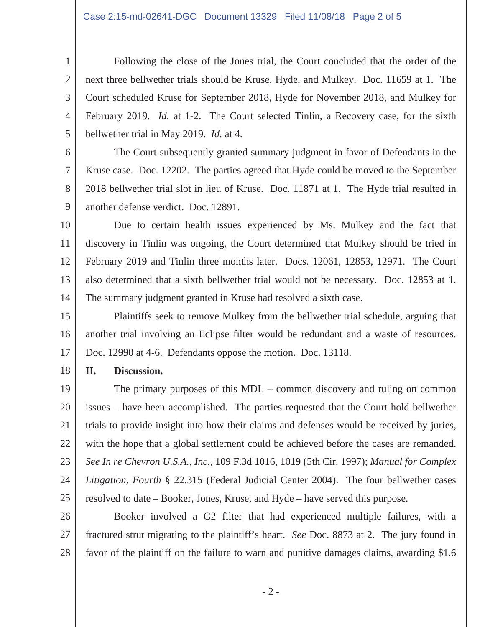Following the close of the Jones trial, the Court concluded that the order of the next three bellwether trials should be Kruse, Hyde, and Mulkey. Doc. 11659 at 1. The Court scheduled Kruse for September 2018, Hyde for November 2018, and Mulkey for February 2019. *Id.* at 1-2. The Court selected Tinlin, a Recovery case, for the sixth bellwether trial in May 2019. *Id.* at 4.

The Court subsequently granted summary judgment in favor of Defendants in the Kruse case. Doc. 12202. The parties agreed that Hyde could be moved to the September 2018 bellwether trial slot in lieu of Kruse. Doc. 11871 at 1. The Hyde trial resulted in another defense verdict. Doc. 12891.

10 11 12 13 14 Due to certain health issues experienced by Ms. Mulkey and the fact that discovery in Tinlin was ongoing, the Court determined that Mulkey should be tried in February 2019 and Tinlin three months later. Docs. 12061, 12853, 12971. The Court also determined that a sixth bellwether trial would not be necessary. Doc. 12853 at 1. The summary judgment granted in Kruse had resolved a sixth case.

15 16 17 Plaintiffs seek to remove Mulkey from the bellwether trial schedule, arguing that another trial involving an Eclipse filter would be redundant and a waste of resources. Doc. 12990 at 4-6. Defendants oppose the motion. Doc. 13118.

18 **II. Discussion.** 

1

2

3

4

5

6

7

8

9

19 20 21 22 23 24 25 The primary purposes of this MDL – common discovery and ruling on common issues – have been accomplished. The parties requested that the Court hold bellwether trials to provide insight into how their claims and defenses would be received by juries, with the hope that a global settlement could be achieved before the cases are remanded. *See In re Chevron U.S.A., Inc.*, 109 F.3d 1016, 1019 (5th Cir. 1997); *Manual for Complex Litigation, Fourth* § 22.315 (Federal Judicial Center 2004). The four bellwether cases resolved to date – Booker, Jones, Kruse, and Hyde – have served this purpose.

26 27 28 Booker involved a G2 filter that had experienced multiple failures, with a fractured strut migrating to the plaintiff's heart. *See* Doc. 8873 at 2. The jury found in favor of the plaintiff on the failure to warn and punitive damages claims, awarding \$1.6

- 2 -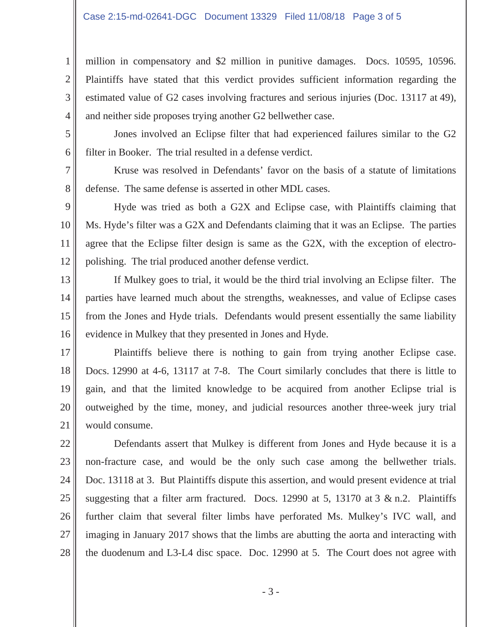## Case 2:15-md-02641-DGC Document 13329 Filed 11/08/18 Page 3 of 5

1

2

3

4

7

8

million in compensatory and \$2 million in punitive damages. Docs. 10595, 10596. Plaintiffs have stated that this verdict provides sufficient information regarding the estimated value of G2 cases involving fractures and serious injuries (Doc. 13117 at 49), and neither side proposes trying another G2 bellwether case.

5 6 Jones involved an Eclipse filter that had experienced failures similar to the G2 filter in Booker. The trial resulted in a defense verdict.

Kruse was resolved in Defendants' favor on the basis of a statute of limitations defense. The same defense is asserted in other MDL cases.

9 10 11 12 Hyde was tried as both a G2X and Eclipse case, with Plaintiffs claiming that Ms. Hyde's filter was a G2X and Defendants claiming that it was an Eclipse. The parties agree that the Eclipse filter design is same as the G2X, with the exception of electropolishing. The trial produced another defense verdict.

13 14 15 16 If Mulkey goes to trial, it would be the third trial involving an Eclipse filter. The parties have learned much about the strengths, weaknesses, and value of Eclipse cases from the Jones and Hyde trials. Defendants would present essentially the same liability evidence in Mulkey that they presented in Jones and Hyde.

17 18 19 20 21 Plaintiffs believe there is nothing to gain from trying another Eclipse case. Docs. 12990 at 4-6, 13117 at 7-8. The Court similarly concludes that there is little to gain, and that the limited knowledge to be acquired from another Eclipse trial is outweighed by the time, money, and judicial resources another three-week jury trial would consume.

22 23 24 25 26 27 28 Defendants assert that Mulkey is different from Jones and Hyde because it is a non-fracture case, and would be the only such case among the bellwether trials. Doc. 13118 at 3. But Plaintiffs dispute this assertion, and would present evidence at trial suggesting that a filter arm fractured. Docs. 12990 at 5, 13170 at  $3 \& n.2$ . Plaintiffs further claim that several filter limbs have perforated Ms. Mulkey's IVC wall, and imaging in January 2017 shows that the limbs are abutting the aorta and interacting with the duodenum and L3-L4 disc space. Doc. 12990 at 5. The Court does not agree with

- 3 -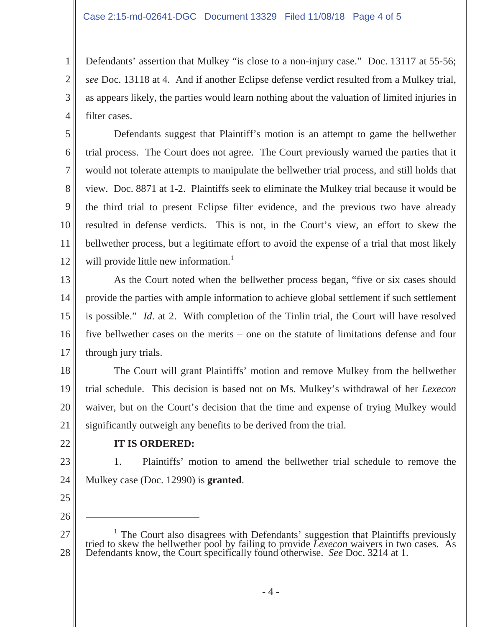Defendants' assertion that Mulkey "is close to a non-injury case." Doc. 13117 at 55-56; *see* Doc. 13118 at 4. And if another Eclipse defense verdict resulted from a Mulkey trial, as appears likely, the parties would learn nothing about the valuation of limited injuries in filter cases.

Defendants suggest that Plaintiff's motion is an attempt to game the bellwether trial process. The Court does not agree. The Court previously warned the parties that it would not tolerate attempts to manipulate the bellwether trial process, and still holds that view. Doc. 8871 at 1-2. Plaintiffs seek to eliminate the Mulkey trial because it would be the third trial to present Eclipse filter evidence, and the previous two have already resulted in defense verdicts. This is not, in the Court's view, an effort to skew the bellwether process, but a legitimate effort to avoid the expense of a trial that most likely will provide little new information. $<sup>1</sup>$ </sup>

13 14 15 16 17 As the Court noted when the bellwether process began, "five or six cases should provide the parties with ample information to achieve global settlement if such settlement is possible." *Id*. at 2. With completion of the Tinlin trial, the Court will have resolved five bellwether cases on the merits – one on the statute of limitations defense and four through jury trials.

18 19 20 21 The Court will grant Plaintiffs' motion and remove Mulkey from the bellwether trial schedule. This decision is based not on Ms. Mulkey's withdrawal of her *Lexecon* waiver, but on the Court's decision that the time and expense of trying Mulkey would significantly outweigh any benefits to be derived from the trial.

22

1

2

3

4

5

6

7

8

9

10

11

12

## **IT IS ORDERED:**

23 24 1. Plaintiffs' motion to amend the bellwether trial schedule to remove the Mulkey case (Doc. 12990) is **granted**.

25 26

 $\overline{a}$ 

<sup>27</sup> 28 <sup>1</sup> The Court also disagrees with Defendants' suggestion that Plaintiffs previously tried to skew the bellwether pool by failing to provide *Lexecon* waivers in two cases. As Defendants know, the Court specifically found otherwise. *See* Doc. 3214 at 1.